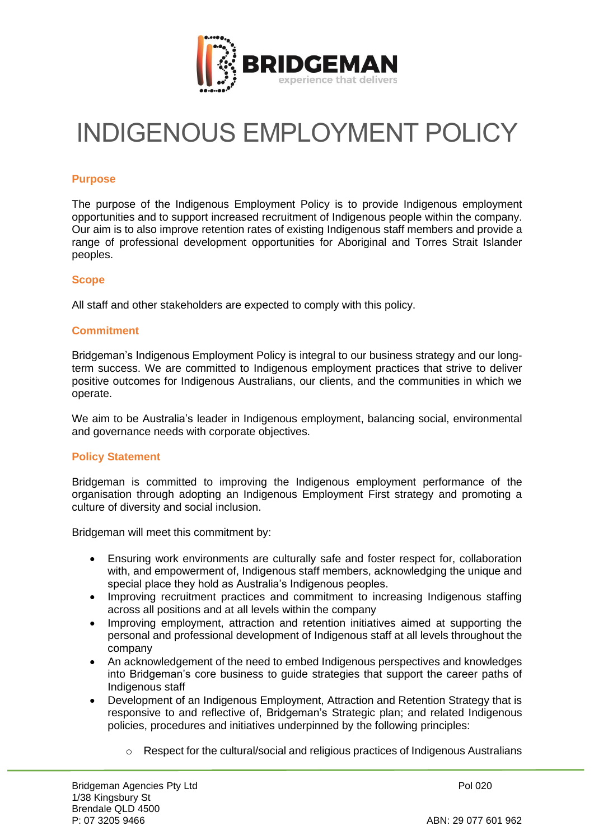

# INDIGENOUS EMPLOYMENT POLICY

## **Purpose**

The purpose of the Indigenous Employment Policy is to provide Indigenous employment opportunities and to support increased recruitment of Indigenous people within the company. Our aim is to also improve retention rates of existing Indigenous staff members and provide a range of professional development opportunities for Aboriginal and Torres Strait Islander peoples.

#### **Scope**

All staff and other stakeholders are expected to comply with this policy.

## **Commitment**

Bridgeman's Indigenous Employment Policy is integral to our business strategy and our longterm success. We are committed to Indigenous employment practices that strive to deliver positive outcomes for Indigenous Australians, our clients, and the communities in which we operate.

We aim to be Australia's leader in Indigenous employment, balancing social, environmental and governance needs with corporate objectives.

## **Policy Statement**

Bridgeman is committed to improving the Indigenous employment performance of the organisation through adopting an Indigenous Employment First strategy and promoting a culture of diversity and social inclusion.

Bridgeman will meet this commitment by:

- Ensuring work environments are culturally safe and foster respect for, collaboration with, and empowerment of, Indigenous staff members, acknowledging the unique and special place they hold as Australia's Indigenous peoples.
- Improving recruitment practices and commitment to increasing Indigenous staffing across all positions and at all levels within the company
- Improving employment, attraction and retention initiatives aimed at supporting the personal and professional development of Indigenous staff at all levels throughout the company
- An acknowledgement of the need to embed Indigenous perspectives and knowledges into Bridgeman's core business to guide strategies that support the career paths of Indigenous staff
- Development of an Indigenous Employment, Attraction and Retention Strategy that is responsive to and reflective of, Bridgeman's Strategic plan; and related Indigenous policies, procedures and initiatives underpinned by the following principles:
	- $\circ$  Respect for the cultural/social and religious practices of Indigenous Australians